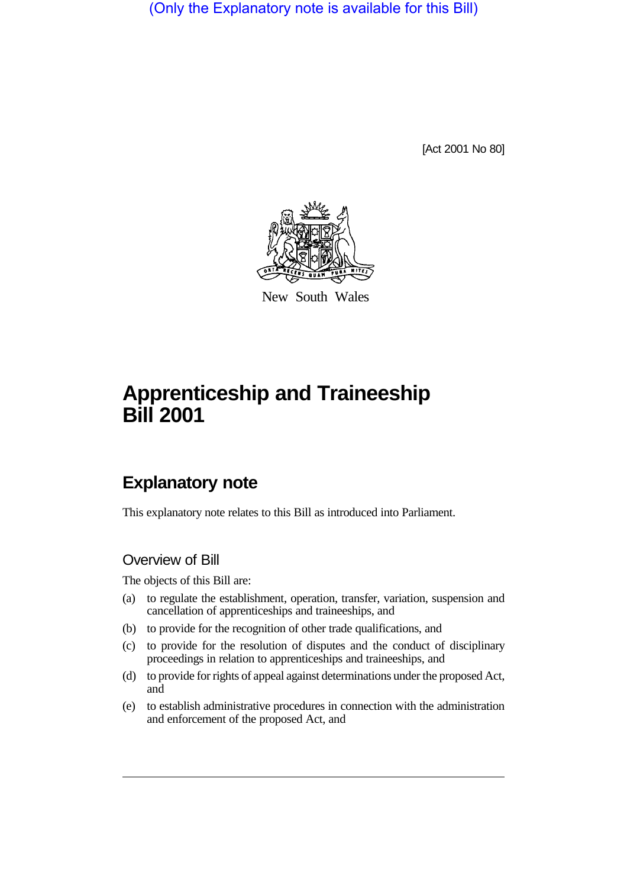(Only the Explanatory note is available for this Bill)

[Act 2001 No 80]



New South Wales

# **Apprenticeship and Traineeship Bill 2001**

# **Explanatory note**

This explanatory note relates to this Bill as introduced into Parliament.

### Overview of Bill

The objects of this Bill are:

- (a) to regulate the establishment, operation, transfer, variation, suspension and cancellation of apprenticeships and traineeships, and
- (b) to provide for the recognition of other trade qualifications, and
- (c) to provide for the resolution of disputes and the conduct of disciplinary proceedings in relation to apprenticeships and traineeships, and
- (d) to provide for rights of appeal against determinations under the proposed Act, and
- (e) to establish administrative procedures in connection with the administration and enforcement of the proposed Act, and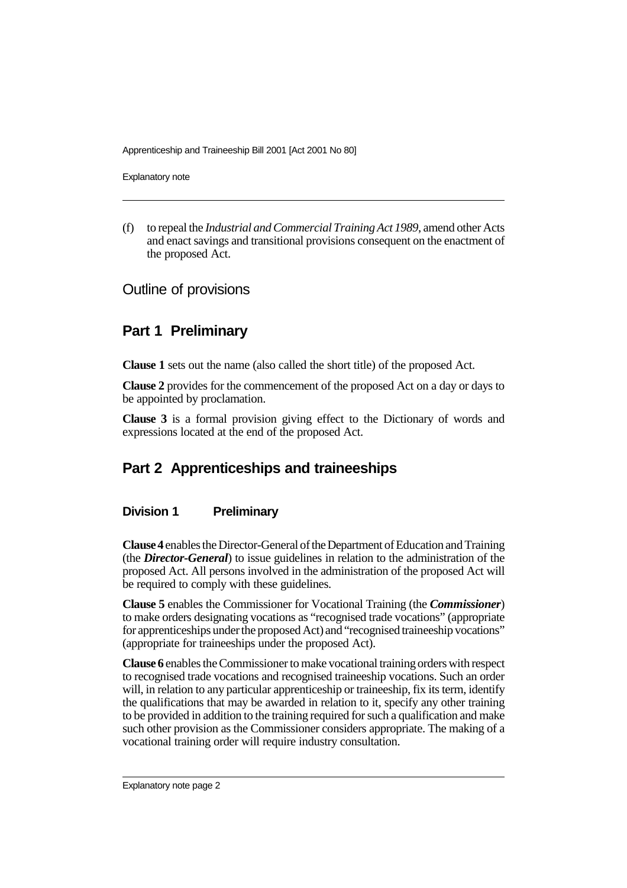Explanatory note

(f) to repeal the *Industrial and Commercial Training Act 1989*, amend other Acts and enact savings and transitional provisions consequent on the enactment of the proposed Act.

Outline of provisions

# **Part 1 Preliminary**

**Clause 1** sets out the name (also called the short title) of the proposed Act.

**Clause 2** provides for the commencement of the proposed Act on a day or days to be appointed by proclamation.

**Clause 3** is a formal provision giving effect to the Dictionary of words and expressions located at the end of the proposed Act.

# **Part 2 Apprenticeships and traineeships**

#### **Division 1 Preliminary**

**Clause 4** enables the Director-General of the Department of Education and Training (the *Director-General*) to issue guidelines in relation to the administration of the proposed Act. All persons involved in the administration of the proposed Act will be required to comply with these guidelines.

**Clause 5** enables the Commissioner for Vocational Training (the *Commissioner*) to make orders designating vocations as "recognised trade vocations" (appropriate for apprenticeships under the proposed Act) and "recognised traineeship vocations" (appropriate for traineeships under the proposed Act).

**Clause 6** enables the Commissioner to make vocational training orders with respect to recognised trade vocations and recognised traineeship vocations. Such an order will, in relation to any particular apprenticeship or traineeship, fix its term, identify the qualifications that may be awarded in relation to it, specify any other training to be provided in addition to the training required for such a qualification and make such other provision as the Commissioner considers appropriate. The making of a vocational training order will require industry consultation.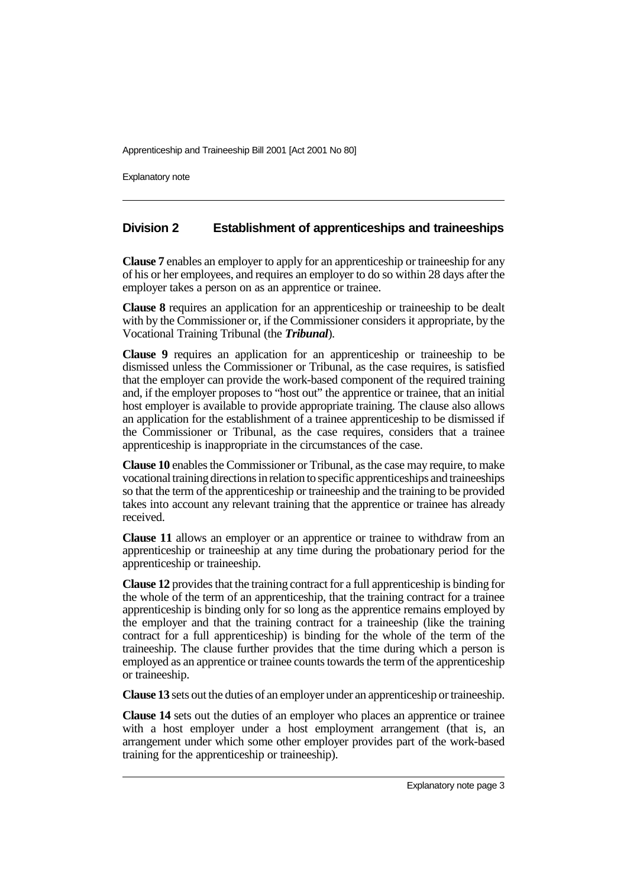Explanatory note

#### **Division 2 Establishment of apprenticeships and traineeships**

**Clause 7** enables an employer to apply for an apprenticeship or traineeship for any of his or her employees, and requires an employer to do so within 28 days after the employer takes a person on as an apprentice or trainee.

**Clause 8** requires an application for an apprenticeship or traineeship to be dealt with by the Commissioner or, if the Commissioner considers it appropriate, by the Vocational Training Tribunal (the *Tribunal*).

**Clause 9** requires an application for an apprenticeship or traineeship to be dismissed unless the Commissioner or Tribunal, as the case requires, is satisfied that the employer can provide the work-based component of the required training and, if the employer proposes to "host out" the apprentice or trainee, that an initial host employer is available to provide appropriate training. The clause also allows an application for the establishment of a trainee apprenticeship to be dismissed if the Commissioner or Tribunal, as the case requires, considers that a trainee apprenticeship is inappropriate in the circumstances of the case.

**Clause 10** enables the Commissioner or Tribunal, as the case may require, to make vocational training directions in relation to specific apprenticeships and traineeships so that the term of the apprenticeship or traineeship and the training to be provided takes into account any relevant training that the apprentice or trainee has already received.

**Clause 11** allows an employer or an apprentice or trainee to withdraw from an apprenticeship or traineeship at any time during the probationary period for the apprenticeship or traineeship.

**Clause 12** provides that the training contract for a full apprenticeship is binding for the whole of the term of an apprenticeship, that the training contract for a trainee apprenticeship is binding only for so long as the apprentice remains employed by the employer and that the training contract for a traineeship (like the training contract for a full apprenticeship) is binding for the whole of the term of the traineeship. The clause further provides that the time during which a person is employed as an apprentice or trainee counts towards the term of the apprenticeship or traineeship.

**Clause 13** sets out the duties of an employer under an apprenticeship or traineeship.

**Clause 14** sets out the duties of an employer who places an apprentice or trainee with a host employer under a host employment arrangement (that is, an arrangement under which some other employer provides part of the work-based training for the apprenticeship or traineeship).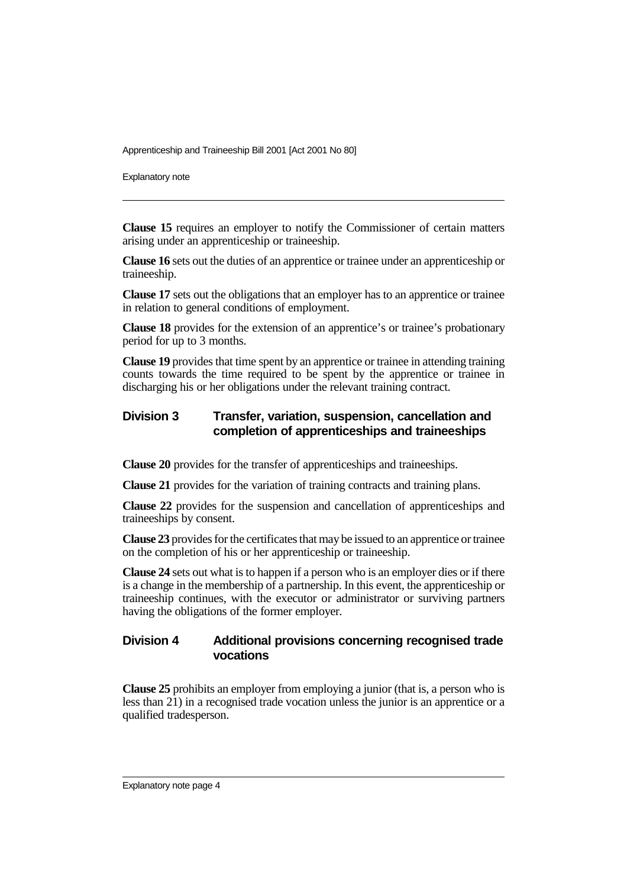Explanatory note

**Clause 15** requires an employer to notify the Commissioner of certain matters arising under an apprenticeship or traineeship.

**Clause 16** sets out the duties of an apprentice or trainee under an apprenticeship or traineeship.

**Clause 17** sets out the obligations that an employer has to an apprentice or trainee in relation to general conditions of employment.

**Clause 18** provides for the extension of an apprentice's or trainee's probationary period for up to 3 months.

**Clause 19** provides that time spent by an apprentice or trainee in attending training counts towards the time required to be spent by the apprentice or trainee in discharging his or her obligations under the relevant training contract.

#### **Division 3 Transfer, variation, suspension, cancellation and completion of apprenticeships and traineeships**

**Clause 20** provides for the transfer of apprenticeships and traineeships.

**Clause 21** provides for the variation of training contracts and training plans.

**Clause 22** provides for the suspension and cancellation of apprenticeships and traineeships by consent.

**Clause 23** provides for the certificates that may be issued to an apprentice or trainee on the completion of his or her apprenticeship or traineeship.

**Clause 24** sets out what is to happen if a person who is an employer dies or if there is a change in the membership of a partnership. In this event, the apprenticeship or traineeship continues, with the executor or administrator or surviving partners having the obligations of the former employer.

#### **Division 4 Additional provisions concerning recognised trade vocations**

**Clause 25** prohibits an employer from employing a junior (that is, a person who is less than 21) in a recognised trade vocation unless the junior is an apprentice or a qualified tradesperson.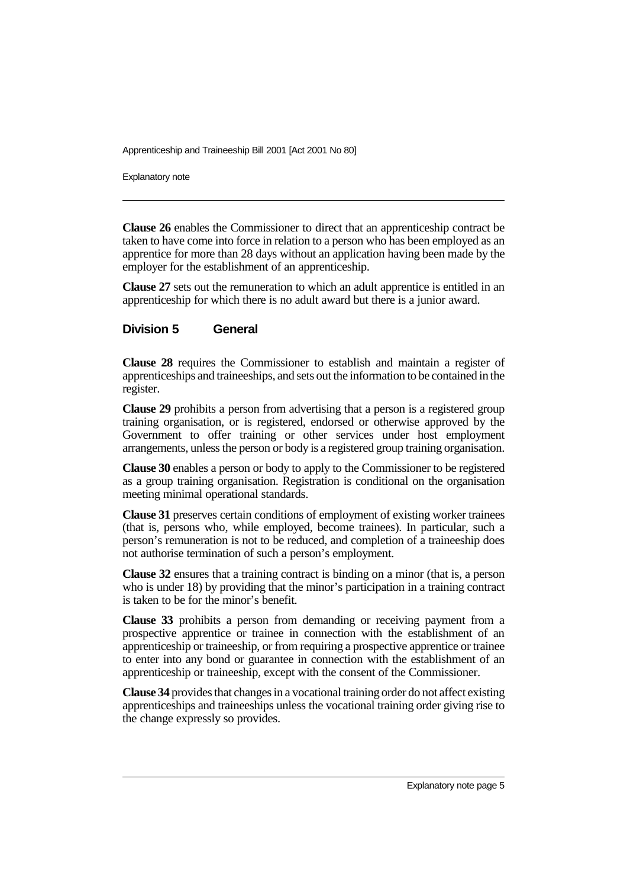Explanatory note

**Clause 26** enables the Commissioner to direct that an apprenticeship contract be taken to have come into force in relation to a person who has been employed as an apprentice for more than 28 days without an application having been made by the employer for the establishment of an apprenticeship.

**Clause 27** sets out the remuneration to which an adult apprentice is entitled in an apprenticeship for which there is no adult award but there is a junior award.

#### **Division 5 General**

**Clause 28** requires the Commissioner to establish and maintain a register of apprenticeships and traineeships, and sets out the information to be contained in the register.

**Clause 29** prohibits a person from advertising that a person is a registered group training organisation, or is registered, endorsed or otherwise approved by the Government to offer training or other services under host employment arrangements, unless the person or body is a registered group training organisation.

**Clause 30** enables a person or body to apply to the Commissioner to be registered as a group training organisation. Registration is conditional on the organisation meeting minimal operational standards.

**Clause 31** preserves certain conditions of employment of existing worker trainees (that is, persons who, while employed, become trainees). In particular, such a person's remuneration is not to be reduced, and completion of a traineeship does not authorise termination of such a person's employment.

**Clause 32** ensures that a training contract is binding on a minor (that is, a person who is under 18) by providing that the minor's participation in a training contract is taken to be for the minor's benefit.

**Clause 33** prohibits a person from demanding or receiving payment from a prospective apprentice or trainee in connection with the establishment of an apprenticeship or traineeship, or from requiring a prospective apprentice or trainee to enter into any bond or guarantee in connection with the establishment of an apprenticeship or traineeship, except with the consent of the Commissioner.

**Clause 34** provides that changes in a vocational training order do not affect existing apprenticeships and traineeships unless the vocational training order giving rise to the change expressly so provides.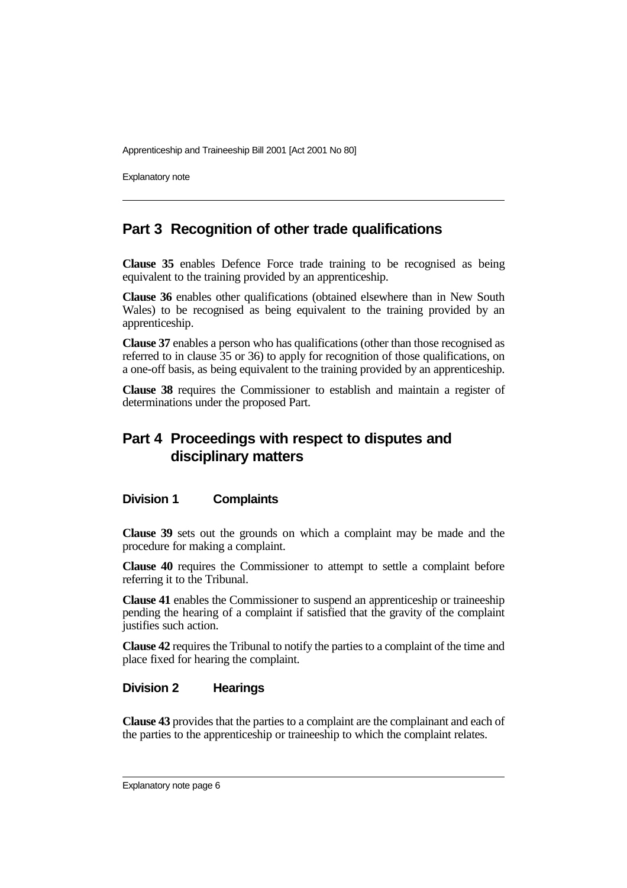Explanatory note

### **Part 3 Recognition of other trade qualifications**

**Clause 35** enables Defence Force trade training to be recognised as being equivalent to the training provided by an apprenticeship.

**Clause 36** enables other qualifications (obtained elsewhere than in New South Wales) to be recognised as being equivalent to the training provided by an apprenticeship.

**Clause 37** enables a person who has qualifications (other than those recognised as referred to in clause 35 or 36) to apply for recognition of those qualifications, on a one-off basis, as being equivalent to the training provided by an apprenticeship.

**Clause 38** requires the Commissioner to establish and maintain a register of determinations under the proposed Part.

# **Part 4 Proceedings with respect to disputes and disciplinary matters**

#### **Division 1 Complaints**

**Clause 39** sets out the grounds on which a complaint may be made and the procedure for making a complaint.

**Clause 40** requires the Commissioner to attempt to settle a complaint before referring it to the Tribunal.

**Clause 41** enables the Commissioner to suspend an apprenticeship or traineeship pending the hearing of a complaint if satisfied that the gravity of the complaint justifies such action.

**Clause 42** requires the Tribunal to notify the parties to a complaint of the time and place fixed for hearing the complaint.

#### **Division 2 Hearings**

**Clause 43** provides that the parties to a complaint are the complainant and each of the parties to the apprenticeship or traineeship to which the complaint relates.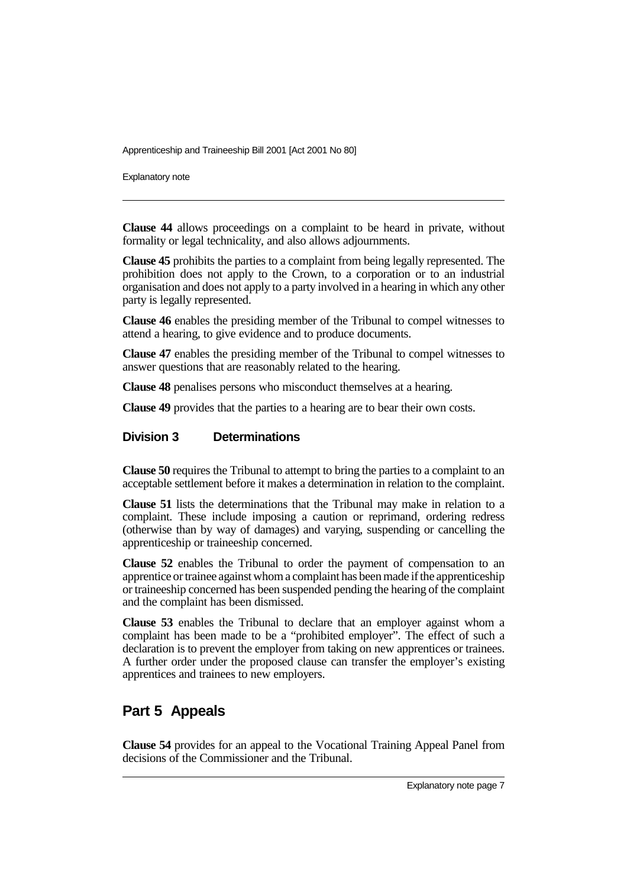Explanatory note

**Clause 44** allows proceedings on a complaint to be heard in private, without formality or legal technicality, and also allows adjournments.

**Clause 45** prohibits the parties to a complaint from being legally represented. The prohibition does not apply to the Crown, to a corporation or to an industrial organisation and does not apply to a party involved in a hearing in which any other party is legally represented.

**Clause 46** enables the presiding member of the Tribunal to compel witnesses to attend a hearing, to give evidence and to produce documents.

**Clause 47** enables the presiding member of the Tribunal to compel witnesses to answer questions that are reasonably related to the hearing.

**Clause 48** penalises persons who misconduct themselves at a hearing.

**Clause 49** provides that the parties to a hearing are to bear their own costs.

#### **Division 3 Determinations**

**Clause 50** requires the Tribunal to attempt to bring the parties to a complaint to an acceptable settlement before it makes a determination in relation to the complaint.

**Clause 51** lists the determinations that the Tribunal may make in relation to a complaint. These include imposing a caution or reprimand, ordering redress (otherwise than by way of damages) and varying, suspending or cancelling the apprenticeship or traineeship concerned.

**Clause 52** enables the Tribunal to order the payment of compensation to an apprentice or trainee against whom a complaint has been made if the apprenticeship or traineeship concerned has been suspended pending the hearing of the complaint and the complaint has been dismissed.

**Clause 53** enables the Tribunal to declare that an employer against whom a complaint has been made to be a "prohibited employer". The effect of such a declaration is to prevent the employer from taking on new apprentices or trainees. A further order under the proposed clause can transfer the employer's existing apprentices and trainees to new employers.

### **Part 5 Appeals**

**Clause 54** provides for an appeal to the Vocational Training Appeal Panel from decisions of the Commissioner and the Tribunal.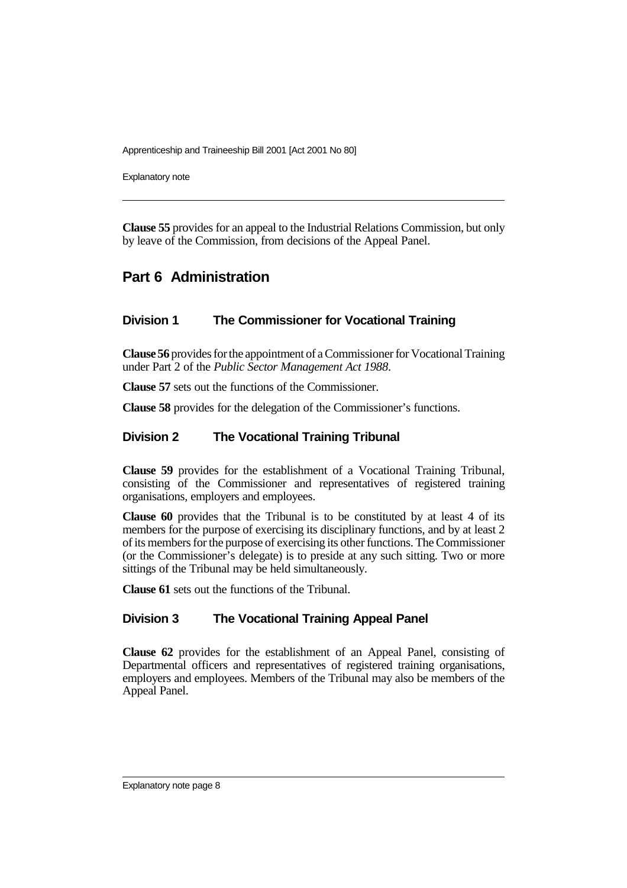Explanatory note

**Clause 55** provides for an appeal to the Industrial Relations Commission, but only by leave of the Commission, from decisions of the Appeal Panel.

# **Part 6 Administration**

#### **Division 1 The Commissioner for Vocational Training**

**Clause 56** provides for the appointment of a Commissioner for Vocational Training under Part 2 of the *Public Sector Management Act 1988*.

**Clause 57** sets out the functions of the Commissioner.

**Clause 58** provides for the delegation of the Commissioner's functions.

#### **Division 2 The Vocational Training Tribunal**

**Clause 59** provides for the establishment of a Vocational Training Tribunal, consisting of the Commissioner and representatives of registered training organisations, employers and employees.

**Clause 60** provides that the Tribunal is to be constituted by at least 4 of its members for the purpose of exercising its disciplinary functions, and by at least 2 of its members for the purpose of exercising its other functions. The Commissioner (or the Commissioner's delegate) is to preside at any such sitting. Two or more sittings of the Tribunal may be held simultaneously.

**Clause 61** sets out the functions of the Tribunal.

#### **Division 3 The Vocational Training Appeal Panel**

**Clause 62** provides for the establishment of an Appeal Panel, consisting of Departmental officers and representatives of registered training organisations, employers and employees. Members of the Tribunal may also be members of the Appeal Panel.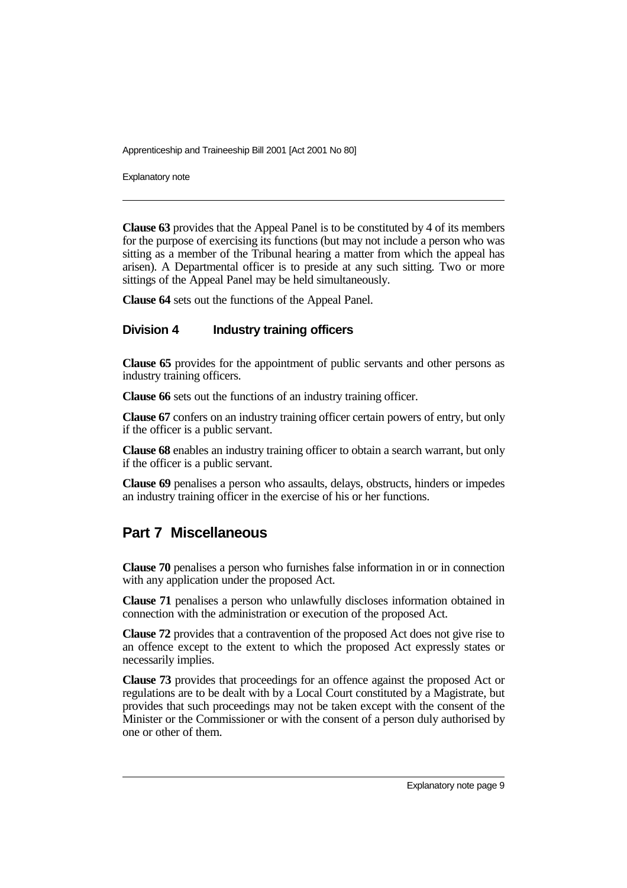Explanatory note

**Clause 63** provides that the Appeal Panel is to be constituted by 4 of its members for the purpose of exercising its functions (but may not include a person who was sitting as a member of the Tribunal hearing a matter from which the appeal has arisen). A Departmental officer is to preside at any such sitting. Two or more sittings of the Appeal Panel may be held simultaneously.

**Clause 64** sets out the functions of the Appeal Panel.

#### **Division 4 Industry training officers**

**Clause 65** provides for the appointment of public servants and other persons as industry training officers.

**Clause 66** sets out the functions of an industry training officer.

**Clause 67** confers on an industry training officer certain powers of entry, but only if the officer is a public servant.

**Clause 68** enables an industry training officer to obtain a search warrant, but only if the officer is a public servant.

**Clause 69** penalises a person who assaults, delays, obstructs, hinders or impedes an industry training officer in the exercise of his or her functions.

### **Part 7 Miscellaneous**

**Clause 70** penalises a person who furnishes false information in or in connection with any application under the proposed Act.

**Clause 71** penalises a person who unlawfully discloses information obtained in connection with the administration or execution of the proposed Act.

**Clause 72** provides that a contravention of the proposed Act does not give rise to an offence except to the extent to which the proposed Act expressly states or necessarily implies.

**Clause 73** provides that proceedings for an offence against the proposed Act or regulations are to be dealt with by a Local Court constituted by a Magistrate, but provides that such proceedings may not be taken except with the consent of the Minister or the Commissioner or with the consent of a person duly authorised by one or other of them.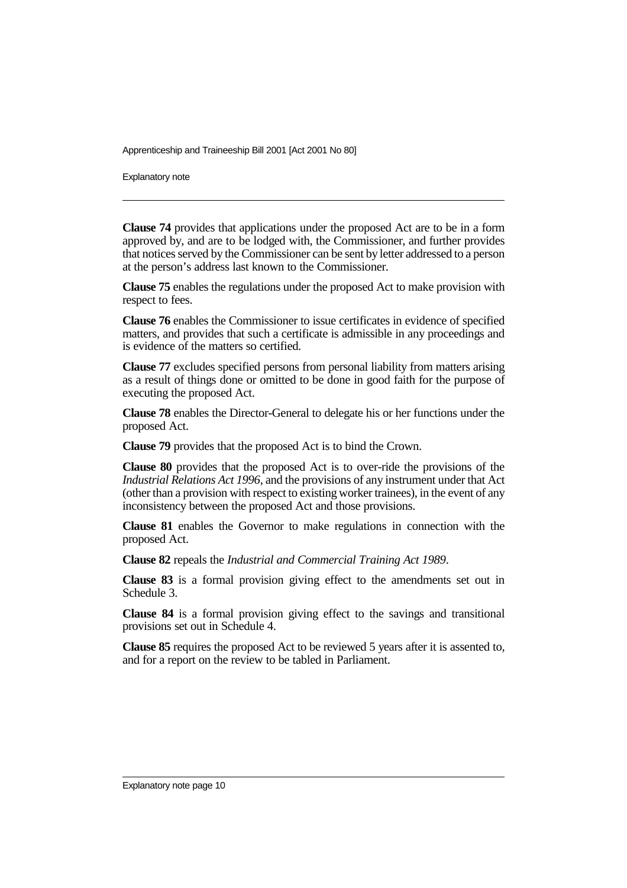Explanatory note

**Clause 74** provides that applications under the proposed Act are to be in a form approved by, and are to be lodged with, the Commissioner, and further provides that notices served by the Commissioner can be sent by letter addressed to a person at the person's address last known to the Commissioner.

**Clause 75** enables the regulations under the proposed Act to make provision with respect to fees.

**Clause 76** enables the Commissioner to issue certificates in evidence of specified matters, and provides that such a certificate is admissible in any proceedings and is evidence of the matters so certified.

**Clause 77** excludes specified persons from personal liability from matters arising as a result of things done or omitted to be done in good faith for the purpose of executing the proposed Act.

**Clause 78** enables the Director-General to delegate his or her functions under the proposed Act.

**Clause 79** provides that the proposed Act is to bind the Crown.

**Clause 80** provides that the proposed Act is to over-ride the provisions of the *Industrial Relations Act 1996*, and the provisions of any instrument under that Act (other than a provision with respect to existing worker trainees), in the event of any inconsistency between the proposed Act and those provisions.

**Clause 81** enables the Governor to make regulations in connection with the proposed Act.

**Clause 82** repeals the *Industrial and Commercial Training Act 1989*.

**Clause 83** is a formal provision giving effect to the amendments set out in Schedule 3.

**Clause 84** is a formal provision giving effect to the savings and transitional provisions set out in Schedule 4.

**Clause 85** requires the proposed Act to be reviewed 5 years after it is assented to, and for a report on the review to be tabled in Parliament.